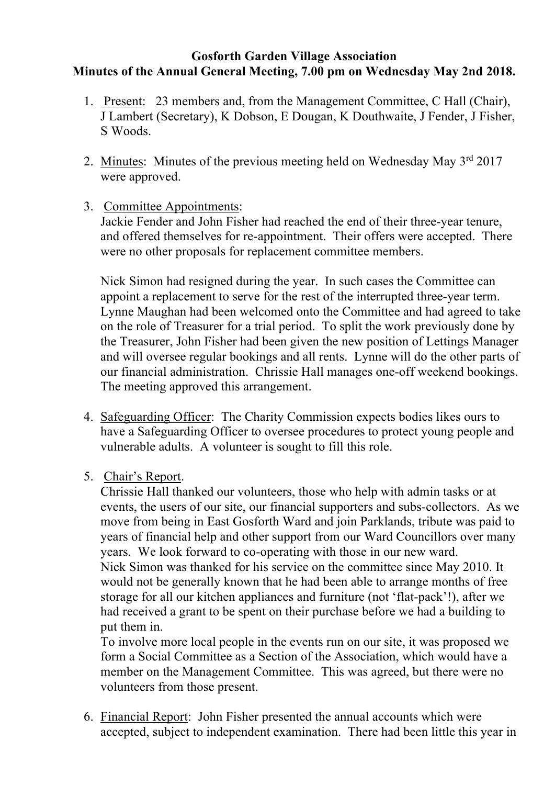## **Gosforth Garden Village Association Minutes of the Annual General Meeting, 7.00 pm on Wednesday May 2nd 2018.**

- 1. Present: 23 members and, from the Management Committee, C Hall (Chair), J Lambert (Secretary), K Dobson, E Dougan, K Douthwaite, J Fender, J Fisher, S Woods.
- 2. Minutes: Minutes of the previous meeting held on Wednesday May 3<sup>rd</sup> 2017 were approved.
- 3. Committee Appointments:

Jackie Fender and John Fisher had reached the end of their three-year tenure, and offered themselves for re-appointment. Their offers were accepted. There were no other proposals for replacement committee members.

Nick Simon had resigned during the year. In such cases the Committee can appoint a replacement to serve for the rest of the interrupted three-year term. Lynne Maughan had been welcomed onto the Committee and had agreed to take on the role of Treasurer for a trial period. To split the work previously done by the Treasurer, John Fisher had been given the new position of Lettings Manager and will oversee regular bookings and all rents. Lynne will do the other parts of our financial administration. Chrissie Hall manages one-off weekend bookings. The meeting approved this arrangement.

- 4. Safeguarding Officer: The Charity Commission expects bodies likes ours to have a Safeguarding Officer to oversee procedures to protect young people and vulnerable adults. A volunteer is sought to fill this role.
- 5. Chair's Report.

Chrissie Hall thanked our volunteers, those who help with admin tasks or at events, the users of our site, our financial supporters and subs-collectors. As we move from being in East Gosforth Ward and join Parklands, tribute was paid to years of financial help and other support from our Ward Councillors over many years. We look forward to co-operating with those in our new ward. Nick Simon was thanked for his service on the committee since May 2010. It would not be generally known that he had been able to arrange months of free storage for all our kitchen appliances and furniture (not 'flat-pack'!), after we had received a grant to be spent on their purchase before we had a building to put them in.

To involve more local people in the events run on our site, it was proposed we form a Social Committee as a Section of the Association, which would have a member on the Management Committee. This was agreed, but there were no volunteers from those present.

6. Financial Report: John Fisher presented the annual accounts which were accepted, subject to independent examination. There had been little this year in